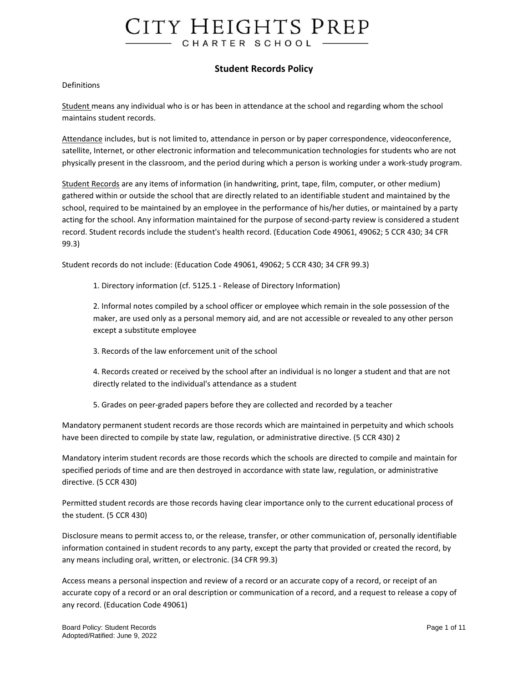### **Student Records Policy**

#### **Definitions**

Student means any individual who is or has been in attendance at the school and regarding whom the school maintains student records.

Attendance includes, but is not limited to, attendance in person or by paper correspondence, videoconference, satellite, Internet, or other electronic information and telecommunication technologies for students who are not physically present in the classroom, and the period during which a person is working under a work-study program.

Student Records are any items of information (in handwriting, print, tape, film, computer, or other medium) gathered within or outside the school that are directly related to an identifiable student and maintained by the school, required to be maintained by an employee in the performance of his/her duties, or maintained by a party acting for the school. Any information maintained for the purpose of second-party review is considered a student record. Student records include the student's health record. (Education Code 49061, 49062; 5 CCR 430; 34 CFR 99.3)

Student records do not include: (Education Code 49061, 49062; 5 CCR 430; 34 CFR 99.3)

1. Directory information (cf. 5125.1 - Release of Directory Information)

2. Informal notes compiled by a school officer or employee which remain in the sole possession of the maker, are used only as a personal memory aid, and are not accessible or revealed to any other person except a substitute employee

3. Records of the law enforcement unit of the school

4. Records created or received by the school after an individual is no longer a student and that are not directly related to the individual's attendance as a student

5. Grades on peer-graded papers before they are collected and recorded by a teacher

Mandatory permanent student records are those records which are maintained in perpetuity and which schools have been directed to compile by state law, regulation, or administrative directive. (5 CCR 430) 2

Mandatory interim student records are those records which the schools are directed to compile and maintain for specified periods of time and are then destroyed in accordance with state law, regulation, or administrative directive. (5 CCR 430)

Permitted student records are those records having clear importance only to the current educational process of the student. (5 CCR 430)

Disclosure means to permit access to, or the release, transfer, or other communication of, personally identifiable information contained in student records to any party, except the party that provided or created the record, by any means including oral, written, or electronic. (34 CFR 99.3)

Access means a personal inspection and review of a record or an accurate copy of a record, or receipt of an accurate copy of a record or an oral description or communication of a record, and a request to release a copy of any record. (Education Code 49061)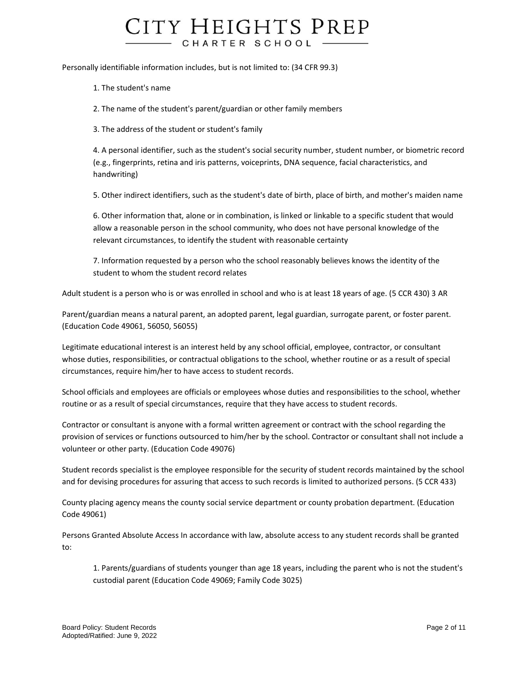Personally identifiable information includes, but is not limited to: (34 CFR 99.3)

1. The student's name

2. The name of the student's parent/guardian or other family members

3. The address of the student or student's family

4. A personal identifier, such as the student's social security number, student number, or biometric record (e.g., fingerprints, retina and iris patterns, voiceprints, DNA sequence, facial characteristics, and handwriting)

5. Other indirect identifiers, such as the student's date of birth, place of birth, and mother's maiden name

6. Other information that, alone or in combination, is linked or linkable to a specific student that would allow a reasonable person in the school community, who does not have personal knowledge of the relevant circumstances, to identify the student with reasonable certainty

7. Information requested by a person who the school reasonably believes knows the identity of the student to whom the student record relates

Adult student is a person who is or was enrolled in school and who is at least 18 years of age. (5 CCR 430) 3 AR

Parent/guardian means a natural parent, an adopted parent, legal guardian, surrogate parent, or foster parent. (Education Code 49061, 56050, 56055)

Legitimate educational interest is an interest held by any school official, employee, contractor, or consultant whose duties, responsibilities, or contractual obligations to the school, whether routine or as a result of special circumstances, require him/her to have access to student records.

School officials and employees are officials or employees whose duties and responsibilities to the school, whether routine or as a result of special circumstances, require that they have access to student records.

Contractor or consultant is anyone with a formal written agreement or contract with the school regarding the provision of services or functions outsourced to him/her by the school. Contractor or consultant shall not include a volunteer or other party. (Education Code 49076)

Student records specialist is the employee responsible for the security of student records maintained by the school and for devising procedures for assuring that access to such records is limited to authorized persons. (5 CCR 433)

County placing agency means the county social service department or county probation department. (Education Code 49061)

Persons Granted Absolute Access In accordance with law, absolute access to any student records shall be granted to:

1. Parents/guardians of students younger than age 18 years, including the parent who is not the student's custodial parent (Education Code 49069; Family Code 3025)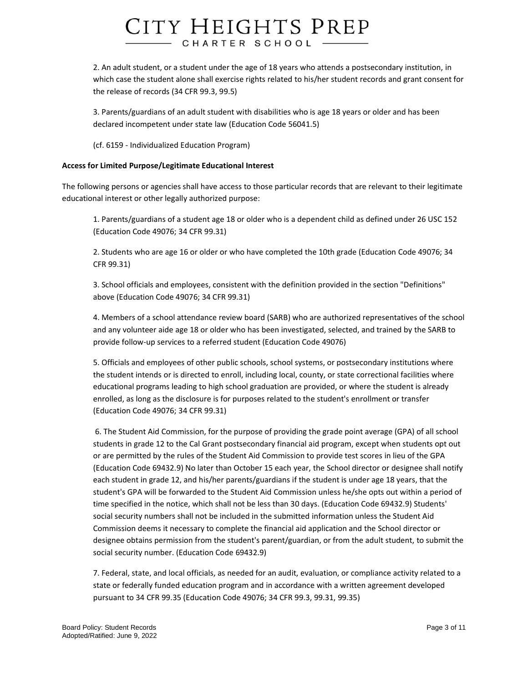2. An adult student, or a student under the age of 18 years who attends a postsecondary institution, in which case the student alone shall exercise rights related to his/her student records and grant consent for the release of records (34 CFR 99.3, 99.5)

3. Parents/guardians of an adult student with disabilities who is age 18 years or older and has been declared incompetent under state law (Education Code 56041.5)

(cf. 6159 - Individualized Education Program)

### **Access for Limited Purpose/Legitimate Educational Interest**

The following persons or agencies shall have access to those particular records that are relevant to their legitimate educational interest or other legally authorized purpose:

1. Parents/guardians of a student age 18 or older who is a dependent child as defined under 26 USC 152 (Education Code 49076; 34 CFR 99.31)

2. Students who are age 16 or older or who have completed the 10th grade (Education Code 49076; 34 CFR 99.31)

3. School officials and employees, consistent with the definition provided in the section "Definitions" above (Education Code 49076; 34 CFR 99.31)

4. Members of a school attendance review board (SARB) who are authorized representatives of the school and any volunteer aide age 18 or older who has been investigated, selected, and trained by the SARB to provide follow-up services to a referred student (Education Code 49076)

5. Officials and employees of other public schools, school systems, or postsecondary institutions where the student intends or is directed to enroll, including local, county, or state correctional facilities where educational programs leading to high school graduation are provided, or where the student is already enrolled, as long as the disclosure is for purposes related to the student's enrollment or transfer (Education Code 49076; 34 CFR 99.31)

6. The Student Aid Commission, for the purpose of providing the grade point average (GPA) of all school students in grade 12 to the Cal Grant postsecondary financial aid program, except when students opt out or are permitted by the rules of the Student Aid Commission to provide test scores in lieu of the GPA (Education Code 69432.9) No later than October 15 each year, the School director or designee shall notify each student in grade 12, and his/her parents/guardians if the student is under age 18 years, that the student's GPA will be forwarded to the Student Aid Commission unless he/she opts out within a period of time specified in the notice, which shall not be less than 30 days. (Education Code 69432.9) Students' social security numbers shall not be included in the submitted information unless the Student Aid Commission deems it necessary to complete the financial aid application and the School director or designee obtains permission from the student's parent/guardian, or from the adult student, to submit the social security number. (Education Code 69432.9)

7. Federal, state, and local officials, as needed for an audit, evaluation, or compliance activity related to a state or federally funded education program and in accordance with a written agreement developed pursuant to 34 CFR 99.35 (Education Code 49076; 34 CFR 99.3, 99.31, 99.35)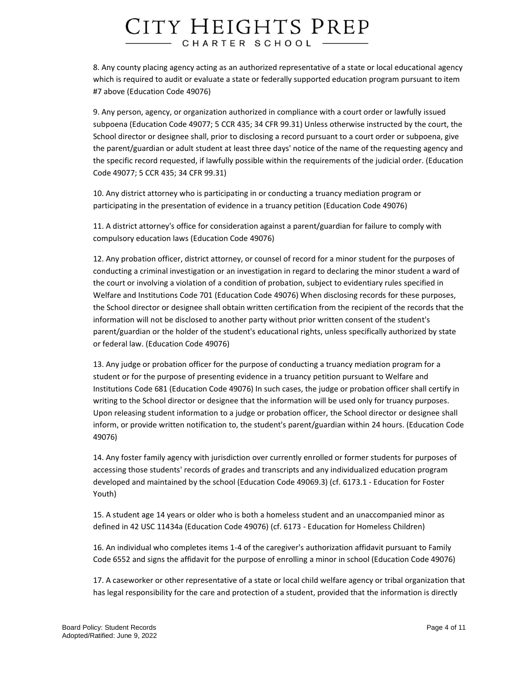8. Any county placing agency acting as an authorized representative of a state or local educational agency which is required to audit or evaluate a state or federally supported education program pursuant to item #7 above (Education Code 49076)

9. Any person, agency, or organization authorized in compliance with a court order or lawfully issued subpoena (Education Code 49077; 5 CCR 435; 34 CFR 99.31) Unless otherwise instructed by the court, the School director or designee shall, prior to disclosing a record pursuant to a court order or subpoena, give the parent/guardian or adult student at least three days' notice of the name of the requesting agency and the specific record requested, if lawfully possible within the requirements of the judicial order. (Education Code 49077; 5 CCR 435; 34 CFR 99.31)

10. Any district attorney who is participating in or conducting a truancy mediation program or participating in the presentation of evidence in a truancy petition (Education Code 49076)

11. A district attorney's office for consideration against a parent/guardian for failure to comply with compulsory education laws (Education Code 49076)

12. Any probation officer, district attorney, or counsel of record for a minor student for the purposes of conducting a criminal investigation or an investigation in regard to declaring the minor student a ward of the court or involving a violation of a condition of probation, subject to evidentiary rules specified in Welfare and Institutions Code 701 (Education Code 49076) When disclosing records for these purposes, the School director or designee shall obtain written certification from the recipient of the records that the information will not be disclosed to another party without prior written consent of the student's parent/guardian or the holder of the student's educational rights, unless specifically authorized by state or federal law. (Education Code 49076)

13. Any judge or probation officer for the purpose of conducting a truancy mediation program for a student or for the purpose of presenting evidence in a truancy petition pursuant to Welfare and Institutions Code 681 (Education Code 49076) In such cases, the judge or probation officer shall certify in writing to the School director or designee that the information will be used only for truancy purposes. Upon releasing student information to a judge or probation officer, the School director or designee shall inform, or provide written notification to, the student's parent/guardian within 24 hours. (Education Code 49076)

14. Any foster family agency with jurisdiction over currently enrolled or former students for purposes of accessing those students' records of grades and transcripts and any individualized education program developed and maintained by the school (Education Code 49069.3) (cf. 6173.1 - Education for Foster Youth)

15. A student age 14 years or older who is both a homeless student and an unaccompanied minor as defined in 42 USC 11434a (Education Code 49076) (cf. 6173 - Education for Homeless Children)

16. An individual who completes items 1-4 of the caregiver's authorization affidavit pursuant to Family Code 6552 and signs the affidavit for the purpose of enrolling a minor in school (Education Code 49076)

17. A caseworker or other representative of a state or local child welfare agency or tribal organization that has legal responsibility for the care and protection of a student, provided that the information is directly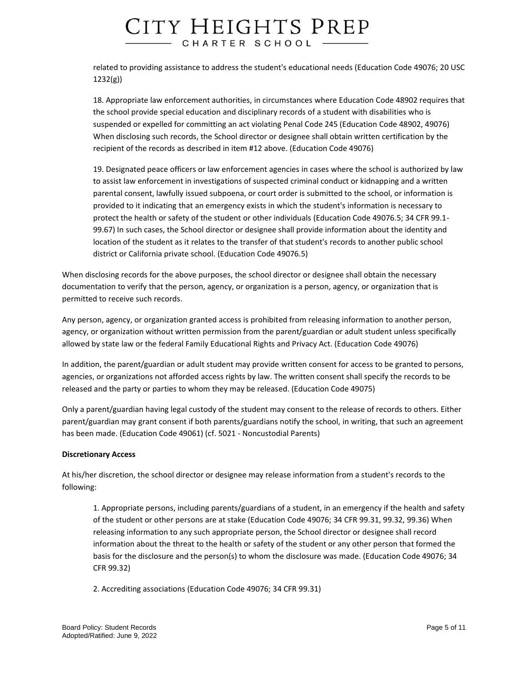related to providing assistance to address the student's educational needs (Education Code 49076; 20 USC 1232(g))

18. Appropriate law enforcement authorities, in circumstances where Education Code 48902 requires that the school provide special education and disciplinary records of a student with disabilities who is suspended or expelled for committing an act violating Penal Code 245 (Education Code 48902, 49076) When disclosing such records, the School director or designee shall obtain written certification by the recipient of the records as described in item #12 above. (Education Code 49076)

19. Designated peace officers or law enforcement agencies in cases where the school is authorized by law to assist law enforcement in investigations of suspected criminal conduct or kidnapping and a written parental consent, lawfully issued subpoena, or court order is submitted to the school, or information is provided to it indicating that an emergency exists in which the student's information is necessary to protect the health or safety of the student or other individuals (Education Code 49076.5; 34 CFR 99.1- 99.67) In such cases, the School director or designee shall provide information about the identity and location of the student as it relates to the transfer of that student's records to another public school district or California private school. (Education Code 49076.5)

When disclosing records for the above purposes, the school director or designee shall obtain the necessary documentation to verify that the person, agency, or organization is a person, agency, or organization that is permitted to receive such records.

Any person, agency, or organization granted access is prohibited from releasing information to another person, agency, or organization without written permission from the parent/guardian or adult student unless specifically allowed by state law or the federal Family Educational Rights and Privacy Act. (Education Code 49076)

In addition, the parent/guardian or adult student may provide written consent for access to be granted to persons, agencies, or organizations not afforded access rights by law. The written consent shall specify the records to be released and the party or parties to whom they may be released. (Education Code 49075)

Only a parent/guardian having legal custody of the student may consent to the release of records to others. Either parent/guardian may grant consent if both parents/guardians notify the school, in writing, that such an agreement has been made. (Education Code 49061) (cf. 5021 - Noncustodial Parents)

### **Discretionary Access**

At his/her discretion, the school director or designee may release information from a student's records to the following:

1. Appropriate persons, including parents/guardians of a student, in an emergency if the health and safety of the student or other persons are at stake (Education Code 49076; 34 CFR 99.31, 99.32, 99.36) When releasing information to any such appropriate person, the School director or designee shall record information about the threat to the health or safety of the student or any other person that formed the basis for the disclosure and the person(s) to whom the disclosure was made. (Education Code 49076; 34 CFR 99.32)

2. Accrediting associations (Education Code 49076; 34 CFR 99.31)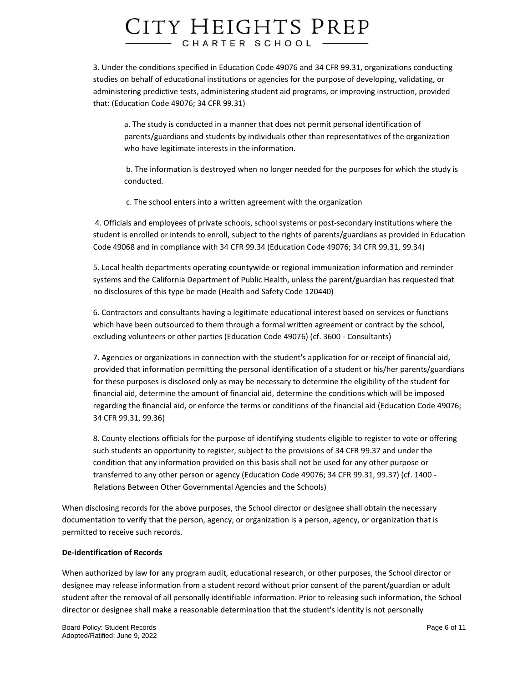3. Under the conditions specified in Education Code 49076 and 34 CFR 99.31, organizations conducting studies on behalf of educational institutions or agencies for the purpose of developing, validating, or administering predictive tests, administering student aid programs, or improving instruction, provided that: (Education Code 49076; 34 CFR 99.31)

a. The study is conducted in a manner that does not permit personal identification of parents/guardians and students by individuals other than representatives of the organization who have legitimate interests in the information.

b. The information is destroyed when no longer needed for the purposes for which the study is conducted.

c. The school enters into a written agreement with the organization

4. Officials and employees of private schools, school systems or post-secondary institutions where the student is enrolled or intends to enroll, subject to the rights of parents/guardians as provided in Education Code 49068 and in compliance with 34 CFR 99.34 (Education Code 49076; 34 CFR 99.31, 99.34)

5. Local health departments operating countywide or regional immunization information and reminder systems and the California Department of Public Health, unless the parent/guardian has requested that no disclosures of this type be made (Health and Safety Code 120440)

6. Contractors and consultants having a legitimate educational interest based on services or functions which have been outsourced to them through a formal written agreement or contract by the school, excluding volunteers or other parties (Education Code 49076) (cf. 3600 - Consultants)

7. Agencies or organizations in connection with the student's application for or receipt of financial aid, provided that information permitting the personal identification of a student or his/her parents/guardians for these purposes is disclosed only as may be necessary to determine the eligibility of the student for financial aid, determine the amount of financial aid, determine the conditions which will be imposed regarding the financial aid, or enforce the terms or conditions of the financial aid (Education Code 49076; 34 CFR 99.31, 99.36)

8. County elections officials for the purpose of identifying students eligible to register to vote or offering such students an opportunity to register, subject to the provisions of 34 CFR 99.37 and under the condition that any information provided on this basis shall not be used for any other purpose or transferred to any other person or agency (Education Code 49076; 34 CFR 99.31, 99.37) (cf. 1400 - Relations Between Other Governmental Agencies and the Schools)

When disclosing records for the above purposes, the School director or designee shall obtain the necessary documentation to verify that the person, agency, or organization is a person, agency, or organization that is permitted to receive such records.

### **De-identification of Records**

When authorized by law for any program audit, educational research, or other purposes, the School director or designee may release information from a student record without prior consent of the parent/guardian or adult student after the removal of all personally identifiable information. Prior to releasing such information, the School director or designee shall make a reasonable determination that the student's identity is not personally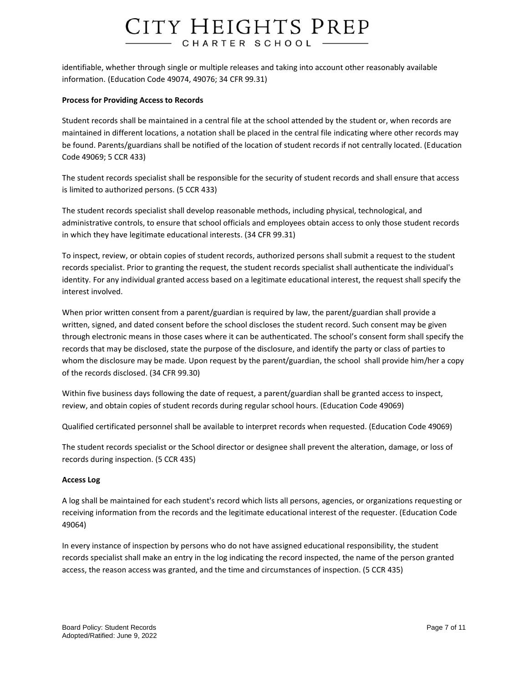identifiable, whether through single or multiple releases and taking into account other reasonably available information. (Education Code 49074, 49076; 34 CFR 99.31)

#### **Process for Providing Access to Records**

Student records shall be maintained in a central file at the school attended by the student or, when records are maintained in different locations, a notation shall be placed in the central file indicating where other records may be found. Parents/guardians shall be notified of the location of student records if not centrally located. (Education Code 49069; 5 CCR 433)

The student records specialist shall be responsible for the security of student records and shall ensure that access is limited to authorized persons. (5 CCR 433)

The student records specialist shall develop reasonable methods, including physical, technological, and administrative controls, to ensure that school officials and employees obtain access to only those student records in which they have legitimate educational interests. (34 CFR 99.31)

To inspect, review, or obtain copies of student records, authorized persons shall submit a request to the student records specialist. Prior to granting the request, the student records specialist shall authenticate the individual's identity. For any individual granted access based on a legitimate educational interest, the request shall specify the interest involved.

When prior written consent from a parent/guardian is required by law, the parent/guardian shall provide a written, signed, and dated consent before the school discloses the student record. Such consent may be given through electronic means in those cases where it can be authenticated. The school's consent form shall specify the records that may be disclosed, state the purpose of the disclosure, and identify the party or class of parties to whom the disclosure may be made. Upon request by the parent/guardian, the school shall provide him/her a copy of the records disclosed. (34 CFR 99.30)

Within five business days following the date of request, a parent/guardian shall be granted access to inspect, review, and obtain copies of student records during regular school hours. (Education Code 49069)

Qualified certificated personnel shall be available to interpret records when requested. (Education Code 49069)

The student records specialist or the School director or designee shall prevent the alteration, damage, or loss of records during inspection. (5 CCR 435)

#### **Access Log**

A log shall be maintained for each student's record which lists all persons, agencies, or organizations requesting or receiving information from the records and the legitimate educational interest of the requester. (Education Code 49064)

In every instance of inspection by persons who do not have assigned educational responsibility, the student records specialist shall make an entry in the log indicating the record inspected, the name of the person granted access, the reason access was granted, and the time and circumstances of inspection. (5 CCR 435)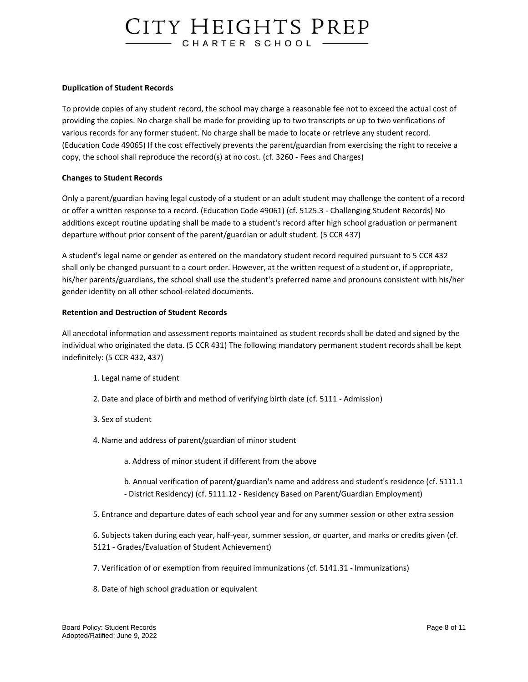#### **Duplication of Student Records**

To provide copies of any student record, the school may charge a reasonable fee not to exceed the actual cost of providing the copies. No charge shall be made for providing up to two transcripts or up to two verifications of various records for any former student. No charge shall be made to locate or retrieve any student record. (Education Code 49065) If the cost effectively prevents the parent/guardian from exercising the right to receive a copy, the school shall reproduce the record(s) at no cost. (cf. 3260 - Fees and Charges)

#### **Changes to Student Records**

Only a parent/guardian having legal custody of a student or an adult student may challenge the content of a record or offer a written response to a record. (Education Code 49061) (cf. 5125.3 - Challenging Student Records) No additions except routine updating shall be made to a student's record after high school graduation or permanent departure without prior consent of the parent/guardian or adult student. (5 CCR 437)

A student's legal name or gender as entered on the mandatory student record required pursuant to 5 CCR 432 shall only be changed pursuant to a court order. However, at the written request of a student or, if appropriate, his/her parents/guardians, the school shall use the student's preferred name and pronouns consistent with his/her gender identity on all other school-related documents.

### **Retention and Destruction of Student Records**

All anecdotal information and assessment reports maintained as student records shall be dated and signed by the individual who originated the data. (5 CCR 431) The following mandatory permanent student records shall be kept indefinitely: (5 CCR 432, 437)

- 1. Legal name of student
- 2. Date and place of birth and method of verifying birth date (cf. 5111 Admission)
- 3. Sex of student
- 4. Name and address of parent/guardian of minor student
	- a. Address of minor student if different from the above
	- b. Annual verification of parent/guardian's name and address and student's residence (cf. 5111.1 - District Residency) (cf. 5111.12 - Residency Based on Parent/Guardian Employment)
- 5. Entrance and departure dates of each school year and for any summer session or other extra session
- 6. Subjects taken during each year, half-year, summer session, or quarter, and marks or credits given (cf. 5121 - Grades/Evaluation of Student Achievement)
- 7. Verification of or exemption from required immunizations (cf. 5141.31 Immunizations)
- 8. Date of high school graduation or equivalent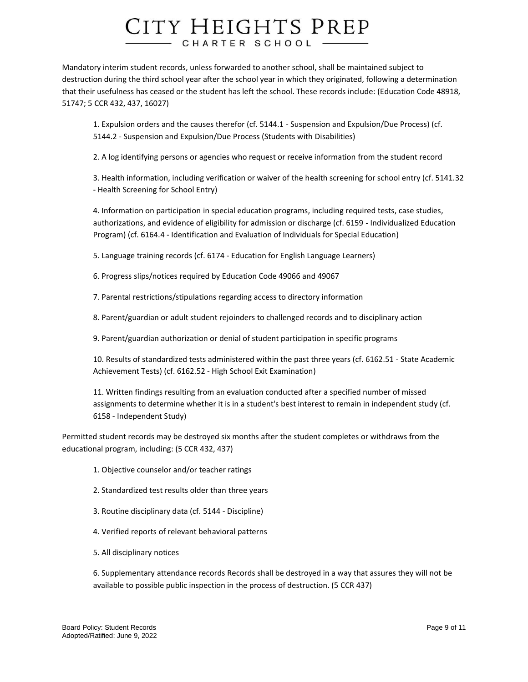Mandatory interim student records, unless forwarded to another school, shall be maintained subject to destruction during the third school year after the school year in which they originated, following a determination that their usefulness has ceased or the student has left the school. These records include: (Education Code 48918, 51747; 5 CCR 432, 437, 16027)

1. Expulsion orders and the causes therefor (cf. 5144.1 - Suspension and Expulsion/Due Process) (cf. 5144.2 - Suspension and Expulsion/Due Process (Students with Disabilities)

2. A log identifying persons or agencies who request or receive information from the student record

3. Health information, including verification or waiver of the health screening for school entry (cf. 5141.32 - Health Screening for School Entry)

4. Information on participation in special education programs, including required tests, case studies, authorizations, and evidence of eligibility for admission or discharge (cf. 6159 - Individualized Education Program) (cf. 6164.4 - Identification and Evaluation of Individuals for Special Education)

5. Language training records (cf. 6174 - Education for English Language Learners)

6. Progress slips/notices required by Education Code 49066 and 49067

7. Parental restrictions/stipulations regarding access to directory information

8. Parent/guardian or adult student rejoinders to challenged records and to disciplinary action

9. Parent/guardian authorization or denial of student participation in specific programs

10. Results of standardized tests administered within the past three years (cf. 6162.51 - State Academic Achievement Tests) (cf. 6162.52 - High School Exit Examination)

11. Written findings resulting from an evaluation conducted after a specified number of missed assignments to determine whether it is in a student's best interest to remain in independent study (cf. 6158 - Independent Study)

Permitted student records may be destroyed six months after the student completes or withdraws from the educational program, including: (5 CCR 432, 437)

- 1. Objective counselor and/or teacher ratings
- 2. Standardized test results older than three years
- 3. Routine disciplinary data (cf. 5144 Discipline)
- 4. Verified reports of relevant behavioral patterns
- 5. All disciplinary notices

6. Supplementary attendance records Records shall be destroyed in a way that assures they will not be available to possible public inspection in the process of destruction. (5 CCR 437)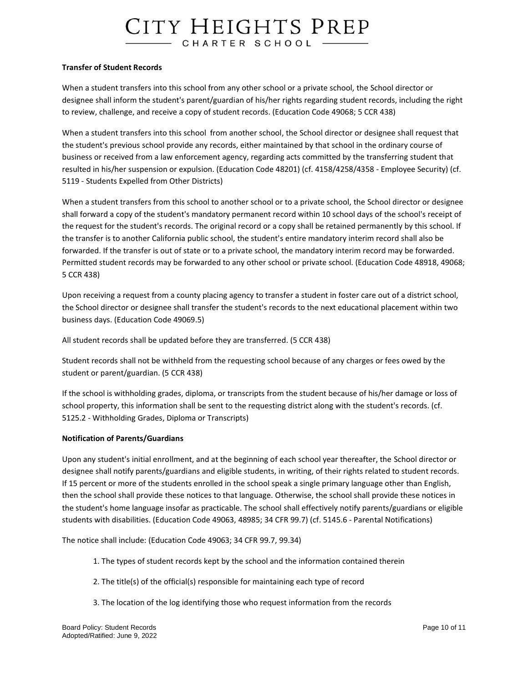#### **Transfer of Student Records**

When a student transfers into this school from any other school or a private school, the School director or designee shall inform the student's parent/guardian of his/her rights regarding student records, including the right to review, challenge, and receive a copy of student records. (Education Code 49068; 5 CCR 438)

When a student transfers into this school from another school, the School director or designee shall request that the student's previous school provide any records, either maintained by that school in the ordinary course of business or received from a law enforcement agency, regarding acts committed by the transferring student that resulted in his/her suspension or expulsion. (Education Code 48201) (cf. 4158/4258/4358 - Employee Security) (cf. 5119 - Students Expelled from Other Districts)

When a student transfers from this school to another school or to a private school, the School director or designee shall forward a copy of the student's mandatory permanent record within 10 school days of the school's receipt of the request for the student's records. The original record or a copy shall be retained permanently by this school. If the transfer is to another California public school, the student's entire mandatory interim record shall also be forwarded. If the transfer is out of state or to a private school, the mandatory interim record may be forwarded. Permitted student records may be forwarded to any other school or private school. (Education Code 48918, 49068; 5 CCR 438)

Upon receiving a request from a county placing agency to transfer a student in foster care out of a district school, the School director or designee shall transfer the student's records to the next educational placement within two business days. (Education Code 49069.5)

All student records shall be updated before they are transferred. (5 CCR 438)

Student records shall not be withheld from the requesting school because of any charges or fees owed by the student or parent/guardian. (5 CCR 438)

If the school is withholding grades, diploma, or transcripts from the student because of his/her damage or loss of school property, this information shall be sent to the requesting district along with the student's records. (cf. 5125.2 - Withholding Grades, Diploma or Transcripts)

### **Notification of Parents/Guardians**

Upon any student's initial enrollment, and at the beginning of each school year thereafter, the School director or designee shall notify parents/guardians and eligible students, in writing, of their rights related to student records. If 15 percent or more of the students enrolled in the school speak a single primary language other than English, then the school shall provide these notices to that language. Otherwise, the school shall provide these notices in the student's home language insofar as practicable. The school shall effectively notify parents/guardians or eligible students with disabilities. (Education Code 49063, 48985; 34 CFR 99.7) (cf. 5145.6 - Parental Notifications)

The notice shall include: (Education Code 49063; 34 CFR 99.7, 99.34)

- 1. The types of student records kept by the school and the information contained therein
- 2. The title(s) of the official(s) responsible for maintaining each type of record
- 3. The location of the log identifying those who request information from the records